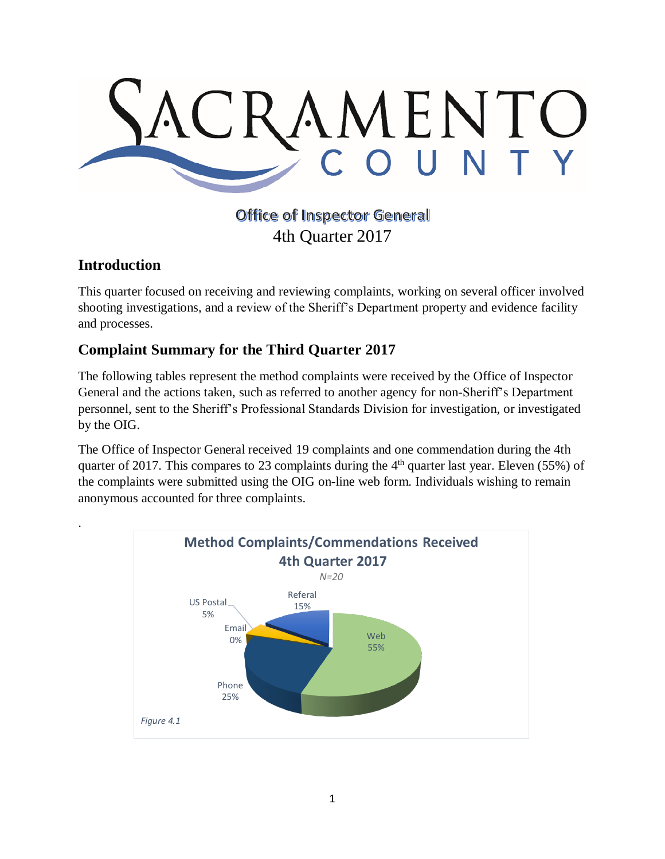

## **Office of Inspector General** 4th Quarter 2017

## **Introduction**

.

This quarter focused on receiving and reviewing complaints, working on several officer involved shooting investigations, and a review of the Sheriff's Department property and evidence facility and processes.

## **Complaint Summary for the Third Quarter 2017**

The following tables represent the method complaints were received by the Office of Inspector General and the actions taken, such as referred to another agency for non-Sheriff's Department personnel, sent to the Sheriff's Professional Standards Division for investigation, or investigated by the OIG.

The Office of Inspector General received 19 complaints and one commendation during the 4th quarter of 2017. This compares to 23 complaints during the  $4<sup>th</sup>$  quarter last year. Eleven (55%) of the complaints were submitted using the OIG on-line web form. Individuals wishing to remain anonymous accounted for three complaints.